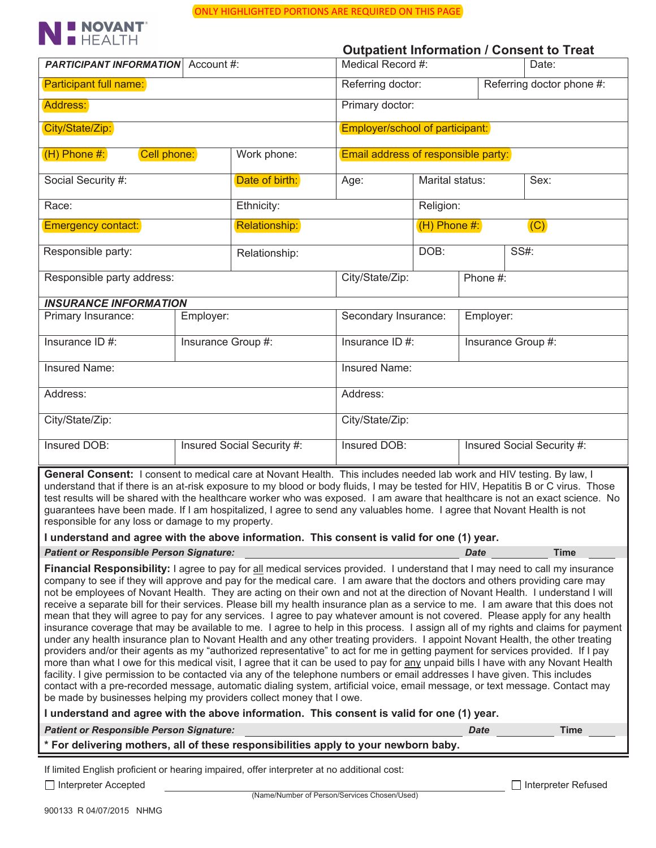

|                                                                                                                                                                                                                                                                                                                                                                                                                                                                                                                                                                                                                                                                                                                                                                                                                                                                                                                                                                                                                                                                                                                                                                                                                                                                                                                                                                                                                                                                                                                        |                    |                |                      |                                                |                       | <b>Outpatient Information / Consent to Treat</b>                                                                                  |  |  |
|------------------------------------------------------------------------------------------------------------------------------------------------------------------------------------------------------------------------------------------------------------------------------------------------------------------------------------------------------------------------------------------------------------------------------------------------------------------------------------------------------------------------------------------------------------------------------------------------------------------------------------------------------------------------------------------------------------------------------------------------------------------------------------------------------------------------------------------------------------------------------------------------------------------------------------------------------------------------------------------------------------------------------------------------------------------------------------------------------------------------------------------------------------------------------------------------------------------------------------------------------------------------------------------------------------------------------------------------------------------------------------------------------------------------------------------------------------------------------------------------------------------------|--------------------|----------------|----------------------|------------------------------------------------|-----------------------|-----------------------------------------------------------------------------------------------------------------------------------|--|--|
| <b>PARTICIPANT INFORMATION</b> Account #:                                                                                                                                                                                                                                                                                                                                                                                                                                                                                                                                                                                                                                                                                                                                                                                                                                                                                                                                                                                                                                                                                                                                                                                                                                                                                                                                                                                                                                                                              |                    |                |                      | Medical Record #:<br>Date:                     |                       |                                                                                                                                   |  |  |
| <b>Participant full name:</b>                                                                                                                                                                                                                                                                                                                                                                                                                                                                                                                                                                                                                                                                                                                                                                                                                                                                                                                                                                                                                                                                                                                                                                                                                                                                                                                                                                                                                                                                                          |                    |                |                      | Referring doctor:<br>Referring doctor phone #: |                       |                                                                                                                                   |  |  |
| Address:                                                                                                                                                                                                                                                                                                                                                                                                                                                                                                                                                                                                                                                                                                                                                                                                                                                                                                                                                                                                                                                                                                                                                                                                                                                                                                                                                                                                                                                                                                               |                    |                | Primary doctor:      |                                                |                       |                                                                                                                                   |  |  |
| City/State/Zip:                                                                                                                                                                                                                                                                                                                                                                                                                                                                                                                                                                                                                                                                                                                                                                                                                                                                                                                                                                                                                                                                                                                                                                                                                                                                                                                                                                                                                                                                                                        |                    |                |                      | Employer/school of participant:                |                       |                                                                                                                                   |  |  |
| $(H)$ Phone #:<br>Cell phone:<br>Work phone:                                                                                                                                                                                                                                                                                                                                                                                                                                                                                                                                                                                                                                                                                                                                                                                                                                                                                                                                                                                                                                                                                                                                                                                                                                                                                                                                                                                                                                                                           |                    |                |                      | Email address of responsible party:            |                       |                                                                                                                                   |  |  |
| Social Security #:                                                                                                                                                                                                                                                                                                                                                                                                                                                                                                                                                                                                                                                                                                                                                                                                                                                                                                                                                                                                                                                                                                                                                                                                                                                                                                                                                                                                                                                                                                     |                    | Date of birth: | Age:                 | Marital status:                                |                       | Sex:                                                                                                                              |  |  |
| Race:                                                                                                                                                                                                                                                                                                                                                                                                                                                                                                                                                                                                                                                                                                                                                                                                                                                                                                                                                                                                                                                                                                                                                                                                                                                                                                                                                                                                                                                                                                                  |                    | Ethnicity:     |                      |                                                | Religion:             |                                                                                                                                   |  |  |
| Emergency contact:                                                                                                                                                                                                                                                                                                                                                                                                                                                                                                                                                                                                                                                                                                                                                                                                                                                                                                                                                                                                                                                                                                                                                                                                                                                                                                                                                                                                                                                                                                     |                    | Relationship:  |                      |                                                | (C)<br>$(H)$ Phone #: |                                                                                                                                   |  |  |
| Responsible party:                                                                                                                                                                                                                                                                                                                                                                                                                                                                                                                                                                                                                                                                                                                                                                                                                                                                                                                                                                                                                                                                                                                                                                                                                                                                                                                                                                                                                                                                                                     |                    | Relationship:  |                      | DOB:                                           | <b>SS#:</b>           |                                                                                                                                   |  |  |
| Responsible party address:                                                                                                                                                                                                                                                                                                                                                                                                                                                                                                                                                                                                                                                                                                                                                                                                                                                                                                                                                                                                                                                                                                                                                                                                                                                                                                                                                                                                                                                                                             |                    |                |                      | City/State/Zip:<br>Phone #:                    |                       |                                                                                                                                   |  |  |
| <b>INSURANCE INFORMATION</b>                                                                                                                                                                                                                                                                                                                                                                                                                                                                                                                                                                                                                                                                                                                                                                                                                                                                                                                                                                                                                                                                                                                                                                                                                                                                                                                                                                                                                                                                                           |                    |                |                      |                                                |                       |                                                                                                                                   |  |  |
| Primary Insurance:                                                                                                                                                                                                                                                                                                                                                                                                                                                                                                                                                                                                                                                                                                                                                                                                                                                                                                                                                                                                                                                                                                                                                                                                                                                                                                                                                                                                                                                                                                     | Employer:          |                | Secondary Insurance: |                                                |                       | Employer:                                                                                                                         |  |  |
| Insurance $ID#$ :                                                                                                                                                                                                                                                                                                                                                                                                                                                                                                                                                                                                                                                                                                                                                                                                                                                                                                                                                                                                                                                                                                                                                                                                                                                                                                                                                                                                                                                                                                      | Insurance Group #: |                | Insurance $ID$ #:    | Insurance Group #:                             |                       |                                                                                                                                   |  |  |
| Insured Name:                                                                                                                                                                                                                                                                                                                                                                                                                                                                                                                                                                                                                                                                                                                                                                                                                                                                                                                                                                                                                                                                                                                                                                                                                                                                                                                                                                                                                                                                                                          |                    |                |                      | Insured Name:                                  |                       |                                                                                                                                   |  |  |
| Address:                                                                                                                                                                                                                                                                                                                                                                                                                                                                                                                                                                                                                                                                                                                                                                                                                                                                                                                                                                                                                                                                                                                                                                                                                                                                                                                                                                                                                                                                                                               |                    |                | Address:             |                                                |                       |                                                                                                                                   |  |  |
| City/State/Zip:                                                                                                                                                                                                                                                                                                                                                                                                                                                                                                                                                                                                                                                                                                                                                                                                                                                                                                                                                                                                                                                                                                                                                                                                                                                                                                                                                                                                                                                                                                        |                    |                |                      | City/State/Zip:                                |                       |                                                                                                                                   |  |  |
| Insured Social Security #:<br>Insured DOB:                                                                                                                                                                                                                                                                                                                                                                                                                                                                                                                                                                                                                                                                                                                                                                                                                                                                                                                                                                                                                                                                                                                                                                                                                                                                                                                                                                                                                                                                             |                    |                | Insured DOB:         | Insured Social Security #:                     |                       |                                                                                                                                   |  |  |
| General Consent: I consent to medical care at Novant Health. This includes needed lab work and HIV testing. By law, I<br>understand that if there is an at-risk exposure to my blood or body fluids, I may be tested for HIV, Hepatitis B or C virus. Those<br>test results will be shared with the healthcare worker who was exposed. I am aware that healthcare is not an exact science. No<br>guarantees have been made. If I am hospitalized, I agree to send any valuables home. I agree that Novant Health is not<br>responsible for any loss or damage to my property.                                                                                                                                                                                                                                                                                                                                                                                                                                                                                                                                                                                                                                                                                                                                                                                                                                                                                                                                          |                    |                |                      |                                                |                       |                                                                                                                                   |  |  |
| I understand and agree with the above information. This consent is valid for one (1) year.                                                                                                                                                                                                                                                                                                                                                                                                                                                                                                                                                                                                                                                                                                                                                                                                                                                                                                                                                                                                                                                                                                                                                                                                                                                                                                                                                                                                                             |                    |                |                      |                                                |                       |                                                                                                                                   |  |  |
| <b>Patient or Responsible Person Signature:</b>                                                                                                                                                                                                                                                                                                                                                                                                                                                                                                                                                                                                                                                                                                                                                                                                                                                                                                                                                                                                                                                                                                                                                                                                                                                                                                                                                                                                                                                                        |                    |                |                      |                                                | <b>Date</b>           | <b>Time</b>                                                                                                                       |  |  |
| Financial Responsibility: I agree to pay for all medical services provided. I understand that I may need to call my insurance<br>company to see if they will approve and pay for the medical care. I am aware that the doctors and others providing care may<br>not be employees of Novant Health. They are acting on their own and not at the direction of Novant Health. I understand I will<br>receive a separate bill for their services. Please bill my health insurance plan as a service to me. I am aware that this does not<br>mean that they will agree to pay for any services. I agree to pay whatever amount is not covered. Please apply for any health<br>under any health insurance plan to Novant Health and any other treating providers. I appoint Novant Health, the other treating<br>providers and/or their agents as my "authorized representative" to act for me in getting payment for services provided. If I pay<br>more than what I owe for this medical visit, I agree that it can be used to pay for any unpaid bills I have with any Novant Health<br>facility. I give permission to be contacted via any of the telephone numbers or email addresses I have given. This includes<br>contact with a pre-recorded message, automatic dialing system, artificial voice, email message, or text message. Contact may<br>be made by businesses helping my providers collect money that I owe.<br>I understand and agree with the above information. This consent is valid for one (1) year. |                    |                |                      |                                                |                       | insurance coverage that may be available to me. I agree to help in this process. I assign all of my rights and claims for payment |  |  |
| <b>Patient or Responsible Person Signature:</b><br>* For delivering mothers, all of these responsibilities apply to your newborn baby.                                                                                                                                                                                                                                                                                                                                                                                                                                                                                                                                                                                                                                                                                                                                                                                                                                                                                                                                                                                                                                                                                                                                                                                                                                                                                                                                                                                 |                    |                |                      |                                                | <b>Date</b>           | <b>Time</b>                                                                                                                       |  |  |
|                                                                                                                                                                                                                                                                                                                                                                                                                                                                                                                                                                                                                                                                                                                                                                                                                                                                                                                                                                                                                                                                                                                                                                                                                                                                                                                                                                                                                                                                                                                        |                    |                |                      |                                                |                       |                                                                                                                                   |  |  |
| If limited English proficient or hearing impaired, offer interpreter at no additional cost:<br>Interpreter Accepted                                                                                                                                                                                                                                                                                                                                                                                                                                                                                                                                                                                                                                                                                                                                                                                                                                                                                                                                                                                                                                                                                                                                                                                                                                                                                                                                                                                                    |                    |                |                      |                                                |                       | Interpreter Refused                                                                                                               |  |  |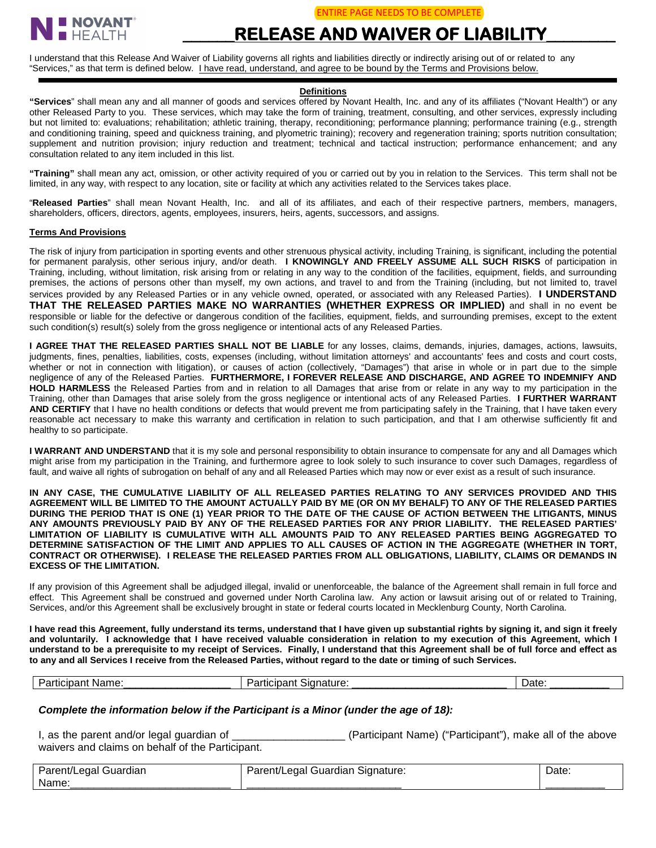

# **\_\_\_\_\_\_RELEASE AND WAIVER OF LIABILITY\_\_\_\_\_\_\_\_**

I understand that this Release And Waiver of Liability governs all rights and liabilities directly or indirectly arising out of or related to any "Services," as that term is defined below. I have read, understand, and agree to be bound by the Terms and Provisions below.

## **Definitions**

**"Services**" shall mean any and all manner of goods and services offered by Novant Health, Inc. and any of its affiliates ("Novant Health") or any other Released Party to you. These services, which may take the form of training, treatment, consulting, and other services, expressly including but not limited to: evaluations; rehabilitation; athletic training, therapy, reconditioning; performance planning; performance training (e.g., strength and conditioning training, speed and quickness training, and plyometric training); recovery and regeneration training; sports nutrition consultation; supplement and nutrition provision; injury reduction and treatment; technical and tactical instruction; performance enhancement; and any consultation related to any item included in this list.

**"Training"** shall mean any act, omission, or other activity required of you or carried out by you in relation to the Services. This term shall not be limited, in any way, with respect to any location, site or facility at which any activities related to the Services takes place.

"**Released Parties**" shall mean Novant Health, Inc. and all of its affiliates, and each of their respective partners, members, managers, shareholders, officers, directors, agents, employees, insurers, heirs, agents, successors, and assigns.

#### **Terms And Provisions**

The risk of injury from participation in sporting events and other strenuous physical activity, including Training, is significant, including the potential for permanent paralysis, other serious injury, and/or death. **I KNOWINGLY AND FREELY ASSUME ALL SUCH RISKS** of participation in Training, including, without limitation, risk arising from or relating in any way to the condition of the facilities, equipment, fields, and surrounding premises, the actions of persons other than myself, my own actions, and travel to and from the Training (including, but not limited to, travel services provided by any Released Parties or in any vehicle owned, operated, or associated with any Released Parties). **I UNDERSTAND THAT THE RELEASED PARTIES MAKE NO WARRANTIES (WHETHER EXPRESS OR IMPLIED)** and shall in no event be responsible or liable for the defective or dangerous condition of the facilities, equipment, fields, and surrounding premises, except to the extent such condition(s) result(s) solely from the gross negligence or intentional acts of any Released Parties.

**I AGREE THAT THE RELEASED PARTIES SHALL NOT BE LIABLE** for any losses, claims, demands, injuries, damages, actions, lawsuits, judgments, fines, penalties, liabilities, costs, expenses (including, without limitation attorneys' and accountants' fees and costs and court costs, whether or not in connection with litigation), or causes of action (collectively, "Damages") that arise in whole or in part due to the simple negligence of any of the Released Parties. **FURTHERMORE, I FOREVER RELEASE AND DISCHARGE, AND AGREE TO INDEMNIFY AND HOLD HARMLESS** the Released Parties from and in relation to all Damages that arise from or relate in any way to my participation in the Training, other than Damages that arise solely from the gross negligence or intentional acts of any Released Parties. **I FURTHER WARRANT AND CERTIFY** that I have no health conditions or defects that would prevent me from participating safely in the Training, that I have taken every reasonable act necessary to make this warranty and certification in relation to such participation, and that I am otherwise sufficiently fit and healthy to so participate.

**I WARRANT AND UNDERSTAND** that it is my sole and personal responsibility to obtain insurance to compensate for any and all Damages which might arise from my participation in the Training, and furthermore agree to look solely to such insurance to cover such Damages, regardless of fault, and waive all rights of subrogation on behalf of any and all Released Parties which may now or ever exist as a result of such insurance.

**IN ANY CASE, THE CUMULATIVE LIABILITY OF ALL RELEASED PARTIES RELATING TO ANY SERVICES PROVIDED AND THIS AGREEMENT WILL BE LIMITED TO THE AMOUNT ACTUALLY PAID BY ME (OR ON MY BEHALF) TO ANY OF THE RELEASED PARTIES DURING THE PERIOD THAT IS ONE (1) YEAR PRIOR TO THE DATE OF THE CAUSE OF ACTION BETWEEN THE LITIGANTS, MINUS ANY AMOUNTS PREVIOUSLY PAID BY ANY OF THE RELEASED PARTIES FOR ANY PRIOR LIABILITY. THE RELEASED PARTIES' LIMITATION OF LIABILITY IS CUMULATIVE WITH ALL AMOUNTS PAID TO ANY RELEASED PARTIES BEING AGGREGATED TO DETERMINE SATISFACTION OF THE LIMIT AND APPLIES TO ALL CAUSES OF ACTION IN THE AGGREGATE (WHETHER IN TORT, CONTRACT OR OTHERWISE). I RELEASE THE RELEASED PARTIES FROM ALL OBLIGATIONS, LIABILITY, CLAIMS OR DEMANDS IN EXCESS OF THE LIMITATION.**

If any provision of this Agreement shall be adjudged illegal, invalid or unenforceable, the balance of the Agreement shall remain in full force and effect. This Agreement shall be construed and governed under North Carolina law. Any action or lawsuit arising out of or related to Training, Services, and/or this Agreement shall be exclusively brought in state or federal courts located in Mecklenburg County, North Carolina.

**I have read this Agreement, fully understand its terms, understand that I have given up substantial rights by signing it, and sign it freely and voluntarily. I acknowledge that I have received valuable consideration in relation to my execution of this Agreement, which I understand to be a prerequisite to my receipt of Services. Finally, I understand that this Agreement shall be of full force and effect as to any and all Services I receive from the Released Parties, without regard to the date or timing of such Services.** 

| Name.<br>.<br>- -<br>anucibani | Signature:<br>ucipar <sup>*</sup> | -<br>Date |
|--------------------------------|-----------------------------------|-----------|
|--------------------------------|-----------------------------------|-----------|

### *Complete the information below if the Participant is a Minor (under the age of 18):*

I, as the parent and/or legal guardian of \_\_\_\_\_\_\_\_\_\_\_\_\_\_\_\_\_\_\_ (Participant Name) ("Participant"), make all of the above waivers and claims on behalf of the Participant.

| Parent/Legal<br>Guardian | egal<br>Guardian<br>Parent.<br>Signature: | Date: |
|--------------------------|-------------------------------------------|-------|
| Name.                    |                                           |       |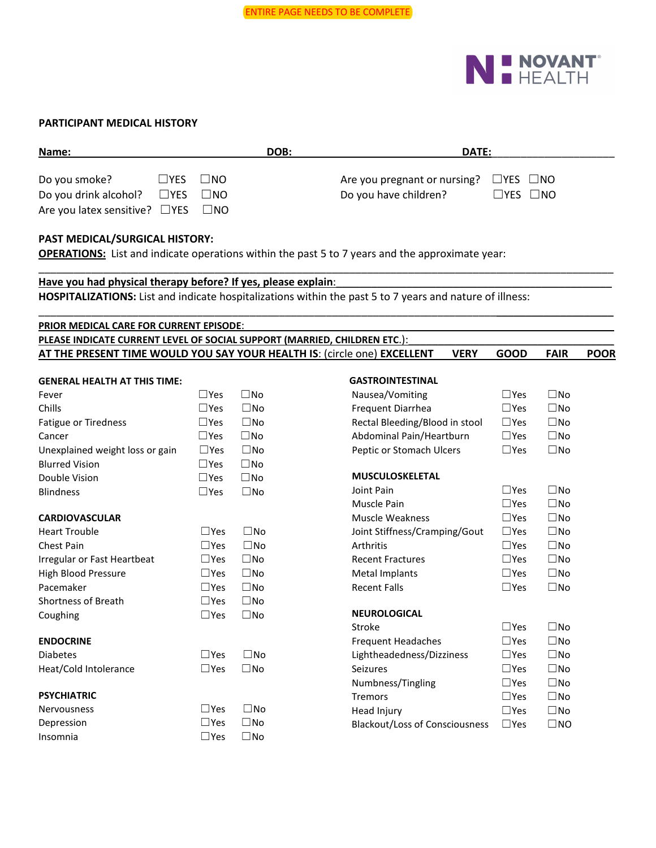

## **PARTICIPANT MEDICAL HISTORY**

| Name:                                         |                      | DOB:      | DATE: |                                                   |              |
|-----------------------------------------------|----------------------|-----------|-------|---------------------------------------------------|--------------|
|                                               |                      |           |       |                                                   |              |
| Do you smoke?                                 | $\Box$ YES $\Box$ NO |           |       | Are you pregnant or nursing? $\Box$ YES $\Box$ NO |              |
| Do you drink alcohol? $\Box$ YES              |                      | $\Box$ NO |       | Do you have children?                             | $LYES$ $LNO$ |
| Are you latex sensitive? $\Box$ YES $\Box$ NO |                      |           |       |                                                   |              |

\_\_\_\_\_\_\_\_\_\_\_\_\_\_\_\_\_\_\_\_\_\_\_\_\_\_\_\_\_\_\_\_\_\_\_\_\_\_\_\_\_\_\_\_\_\_\_\_\_\_\_\_\_\_\_\_\_\_\_\_\_\_\_\_\_\_\_\_\_\_\_\_\_\_\_\_\_\_\_\_\_\_\_\_\_\_\_\_\_\_\_\_\_\_\_\_\_\_

## **PAST MEDICAL/SURGICAL HISTORY:**

**OPERATIONS:** List and indicate operations within the past 5 to 7 years and the approximate year:

## Have you had physical therapy before? If yes, please explain:

**HOSPITALIZATIONS:** List and indicate hospitalizations within the past 5 to 7 years and nature of illness:

| PRIOR MEDICAL CARE FOR CURRENT EPISODE:<br>PLEASE INDICATE CURRENT LEVEL OF SOCIAL SUPPORT (MARRIED, CHILDREN ETC.): |               |              |                                       |               |              |             |
|----------------------------------------------------------------------------------------------------------------------|---------------|--------------|---------------------------------------|---------------|--------------|-------------|
| AT THE PRESENT TIME WOULD YOU SAY YOUR HEALTH IS: (circle one) EXCELLENT                                             |               |              | <b>VERY</b>                           | <b>GOOD</b>   | <b>FAIR</b>  | <b>POOR</b> |
|                                                                                                                      |               |              |                                       |               |              |             |
| <b>GENERAL HEALTH AT THIS TIME:</b>                                                                                  |               |              | <b>GASTROINTESTINAL</b>               |               |              |             |
| Fever                                                                                                                | $\Box$ Yes    | $\square$ No | Nausea/Vomiting                       | $\Box$ Yes    | $\square$ No |             |
| Chills                                                                                                               | $\Box$ Yes    | $\square$ No | Frequent Diarrhea                     | $\Box$ Yes    | $\square$ No |             |
| <b>Fatigue or Tiredness</b>                                                                                          | $\square$ Yes | $\square$ No | Rectal Bleeding/Blood in stool        | $\Box$ Yes    | $\square$ No |             |
| Cancer                                                                                                               | $\Box$ Yes    | $\square$ No | Abdominal Pain/Heartburn              | $\Box$ Yes    | $\square$ No |             |
| Unexplained weight loss or gain                                                                                      | $\Box$ Yes    | $\square$ No | Peptic or Stomach Ulcers              | $\Box$ Yes    | $\square$ No |             |
| <b>Blurred Vision</b>                                                                                                | $\square$ Yes | $\square$ No |                                       |               |              |             |
| Double Vision                                                                                                        | $\Box$ Yes    | $\square$ No | <b>MUSCULOSKELETAL</b>                |               |              |             |
| <b>Blindness</b>                                                                                                     | $\Box$ Yes    | $\square$ No | Joint Pain                            | $\square$ Yes | $\square$ No |             |
|                                                                                                                      |               |              | Muscle Pain                           | $\Box$ Yes    | $\square$ No |             |
| <b>CARDIOVASCULAR</b>                                                                                                |               |              | <b>Muscle Weakness</b>                | $\Box$ Yes    | $\square$ No |             |
| <b>Heart Trouble</b>                                                                                                 | $\square$ Yes | $\square$ No | Joint Stiffness/Cramping/Gout         | $\Box$ Yes    | $\square$ No |             |
| <b>Chest Pain</b>                                                                                                    | $\square$ Yes | $\square$ No | Arthritis                             | $\square$ Yes | $\square$ No |             |
| Irregular or Fast Heartbeat                                                                                          | $\square$ Yes | $\square$ No | <b>Recent Fractures</b>               | $\Box$ Yes    | $\square$ No |             |
| High Blood Pressure                                                                                                  | $\square$ Yes | $\square$ No | Metal Implants                        | $\Box$ Yes    | $\square$ No |             |
| Pacemaker                                                                                                            | $\square$ Yes | $\square$ No | <b>Recent Falls</b>                   | $\Box$ Yes    | $\square$ No |             |
| <b>Shortness of Breath</b>                                                                                           | $\square$ Yes | $\square$ No |                                       |               |              |             |
| Coughing                                                                                                             | $\Box$ Yes    | $\square$ No | <b>NEUROLOGICAL</b>                   |               |              |             |
|                                                                                                                      |               |              | Stroke                                | $\Box$ Yes    | $\square$ No |             |
| <b>ENDOCRINE</b>                                                                                                     |               |              | <b>Frequent Headaches</b>             | $\Box$ Yes    | $\square$ No |             |
| <b>Diabetes</b>                                                                                                      | $\square$ Yes | $\square$ No | Lightheadedness/Dizziness             | $\square$ Yes | $\square$ No |             |
| Heat/Cold Intolerance                                                                                                | $\Box$ Yes    | $\square$ No | <b>Seizures</b>                       | $\Box$ Yes    | $\square$ No |             |
|                                                                                                                      |               |              | Numbness/Tingling                     | $\Box$ Yes    | $\square$ No |             |
| <b>PSYCHIATRIC</b>                                                                                                   |               |              | <b>Tremors</b>                        | $\square$ Yes | $\square$ No |             |
| <b>Nervousness</b>                                                                                                   | $\square$ Yes | $\square$ No | Head Injury                           | $\Box$ Yes    | $\square$ No |             |
| Depression                                                                                                           | $\Box$ Yes    | $\square$ No | <b>Blackout/Loss of Consciousness</b> | $\Box$ Yes    | $\square$ NO |             |
| Insomnia                                                                                                             | $\Box$ Yes    | $\square$ No |                                       |               |              |             |